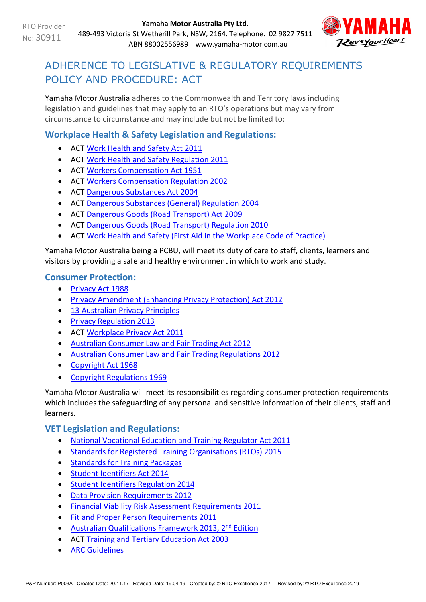

# ADHERENCE TO LEGISLATIVE & REGULATORY REQUIREMENTS POLICY AND PROCEDURE: ACT

Yamaha Motor Australia adheres to the Commonwealth and Territory laws including legislation and guidelines that may apply to an RTO's operations but may vary from circumstance to circumstance and may include but not be limited to:

# **Workplace Health & Safety Legislation and Regulations:**

- ACT [Work Health and Safety Act 2011](http://www.legislation.act.gov.au/a/2011-35/default.asp)
- ACT Work Health [and Safety Regulation 2011](http://www.legislation.act.gov.au/sl/2011-36/default.asp)
- ACT [Workers Compensation Act 195](http://www.legislation.act.gov.au/a/1951-2/default.asp)1
- ACT [Workers Compensation Regulation 2002](http://www.legislation.act.gov.au/sl/2002-20/default.asp)
- ACT [Dangerous Substances Act 2004](http://www.legislation.act.gov.au/a/2004-7/default.asp)
- ACT [Dangerous Substances \(General\) Regulation 2004](http://www.legislation.act.gov.au/sl/2004-56/default.asp)
- ACT [Dangerous Goods \(Road Transport\) Act 2009](http://www.legislation.act.gov.au/a/2009-34/default.asp)
- ACT [Dangerous Goods \(Road Transport\) Regulation 2010](http://www.legislation.act.gov.au/sl/2010-12/default.asp)
- ACT [Work Health and Safety \(First Aid in the Workplace Code of Practice\)](http://www.legislation.act.gov.au/ni/2015-330/default.asp)

Yamaha Motor Australia being a PCBU, will meet its duty of care to staff, clients, learners and visitors by providing a safe and healthy environment in which to work and study.

# **Consumer Protection:**

- [Privacy Act 1988](https://www.legislation.gov.au/Series/C2004A03712)
- [Privacy Amendment \(Enhancing Privacy Protection\) Act 2012](https://www.legislation.gov.au/Details/C2015C00053)
- [13 Australian Privacy Principles](http://www.oaic.gov.au/individuals/privacy-fact-sheets/general/privacy-fact-sheet-17-australian-privacy-principles)
- [Privacy Regulation 2013](https://www.legislation.gov.au/Details/F2019C00361)
- ACT [Workplace Privacy Act 2011](http://www.legislation.act.gov.au/a/2011-4/default.asp)
- [Australian Consumer Law and Fair Trading Act 2012](http://www.legislation.vic.gov.au/Domino/Web_Notes/LDMS/PubStatbook.nsf/f932b66241ecf1b7ca256e92000e23be/a7a06c0b33b7f723ca2579f80018c9f2/$FILE/12-021abookmarked.pdf)
- [Australian Consumer Law and Fair Trading Regulations 2012](http://www.austlii.edu.au/au/legis/vic/consol_reg/aclaftr2012481/notes.html)
- [Copyright Act 1968](https://www.legislation.gov.au/Details/C2019C00042)
- **[Copyright Regulations 1969](https://www.legislation.gov.au/Details/F2019C00032)**

Yamaha Motor Australia will meet its responsibilities regarding consumer protection requirements which includes the safeguarding of any personal and sensitive information of their clients, staff and learners.

# **VET Legislation and Regulations:**

- [National Vocational Education and Training Regulator Act 2011](https://www.legislation.gov.au/Details/C2017C00245)
- [Standards for Registered Training Organisations \(RTOs\) 2015](https://www.legislation.gov.au/Details/F2017C00663)
- [Standards for Training Packages](https://docs.education.gov.au/system/files/doc/other/standardsfortrainingpackages.pdf)
- [Student Identifiers Act 2014](https://www.legislation.gov.au/Details/C2017C00038)
- [Student Identifiers Regulation 2014](http://www.comlaw.gov.au/Details/F2014L01204)
- [Data Provision Requirements 2012](http://www.comlaw.gov.au/Details/F2013C00497)
- [Financial Viability Risk Assessment Requirements 2011](https://www.legislation.gov.au/Series/F2011L01405)
- [Fit and Proper Person Requirements 2011](https://www.legislation.gov.au/Series/F2011L01341)
- Australian Qualifications Framework 2013, 2<sup>nd</sup> Edition
- ACT [Training and Tertiary Education Act 2003](http://www.legislation.act.gov.au/a/2003-36/default.asp)
- **[ARC Guidelines](http://resus.org.au/guidelines/)**